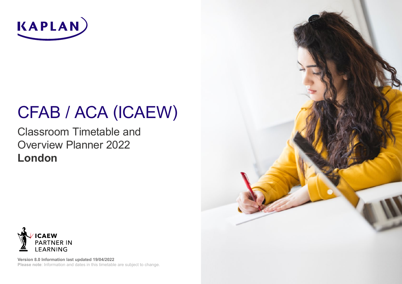

# CFAB / ACA (ICAEW)

Classroom Timetable and Overview Planner 2022 **London**



**Version 8.0 Information last updated 19/04/2022 Please note**: Information and dates in this timetable are subject to change.

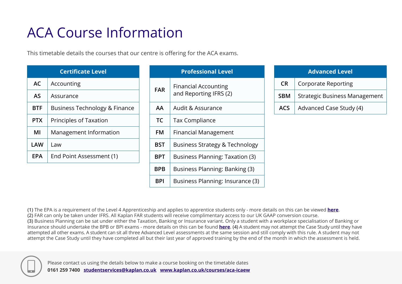## ACA Course Information

This timetable details the courses that our centre is offering for the ACA exams.

|            | <b>Certificate Level</b>      |
|------------|-------------------------------|
| <b>AC</b>  | Accounting                    |
| <b>AS</b>  | Assurance                     |
| <b>BTF</b> | Business Technology & Finance |
| <b>PTX</b> | Principles of Taxation        |
| ΜI         | Management Information        |
| <b>LAW</b> | Law                           |
| <b>EPA</b> | End Point Assessment (1)      |

|            | <b>Professional Level</b>                             |
|------------|-------------------------------------------------------|
| <b>FAR</b> | <b>Financial Accounting</b><br>and Reporting IFRS (2) |
| AA         | Audit & Assurance                                     |
| TC         | <b>Tax Compliance</b>                                 |
| FM         | <b>Financial Management</b>                           |
| <b>BST</b> | <b>Business Strategy &amp; Technology</b>             |
| BPT        | <b>Business Planning: Taxation (3)</b>                |
| <b>BPB</b> | Business Planning: Banking (3)                        |
| BPI        | Business Planning: Insurance (3)                      |

|            | <b>Advanced Level</b>                |
|------------|--------------------------------------|
| <b>CR</b>  | <b>Corporate Reporting</b>           |
| <b>SBM</b> | <b>Strategic Business Management</b> |
| ACS.       | Advanced Case Study (4)              |

**(1)** The EPA is a requirement of the Level 4 Apprenticeship and applies to apprentice students only - more details on this can be viewed **here**. **(2)** FAR can only be taken under IFRS. All Kaplan FAR students will receive complimentary access to our UK GAAP conversion course. **(3)** Business Planning can be sat under either the Taxation, Banking or Insurance variant. Only a student with a workplace specialisation of Banking or Insurance should undertake the BPB or BPI exams - more details on this can be found **here**. **(4)** A student may not attempt the Case Study until they have attempted all other exams. A student can sit all three Advanced Level assessments at the same session and still comply with this rule. A student may not attempt the Case Study until they have completed all but their last year of approved training by the end of the month in which the assessment is held.

![](_page_1_Picture_6.jpeg)

Please contact us using the details below to make a course booking on the timetable dates **0161 259 7400 studentservices@kaplan.co.uk www.kaplan.co.uk/courses/aca-icaew**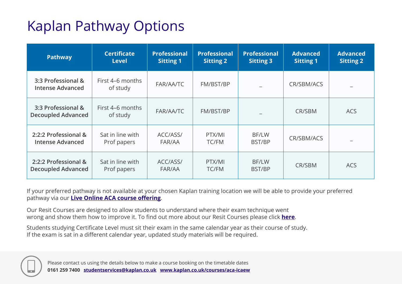## Kaplan Pathway Options

| <b>Pathway</b>                                    | <b>Certificate</b><br><b>Level</b> | <b>Professional</b><br><b>Sitting 1</b> | <b>Professional</b><br><b>Sitting 2</b> | <b>Professional</b><br><b>Sitting 3</b> | <b>Advanced</b><br><b>Sitting 1</b> | <b>Advanced</b><br><b>Sitting 2</b> |
|---------------------------------------------------|------------------------------------|-----------------------------------------|-----------------------------------------|-----------------------------------------|-------------------------------------|-------------------------------------|
| 3:3 Professional &<br><b>Intense Advanced</b>     | First 4-6 months<br>of study       | FAR/AA/TC                               | FM/BST/BP                               |                                         | CR/SBM/ACS                          |                                     |
| 3:3 Professional &<br><b>Decoupled Advanced</b>   | First 4–6 months<br>of study       | FAR/AA/TC                               | FM/BST/BP                               |                                         | CR/SBM                              | <b>ACS</b>                          |
| 2:2:2 Professional &<br><b>Intense Advanced</b>   | Sat in line with<br>Prof papers    | ACC/ASS/<br>FAR/AA                      | PTX/MI<br><b>TC/FM</b>                  | BF/LW<br>BST/BP                         | CR/SBM/ACS                          |                                     |
| 2:2:2 Professional &<br><b>Decoupled Advanced</b> | Sat in line with<br>Prof papers    | ACC/ASS/<br>FAR/AA                      | PTX/MI<br><b>TC/FM</b>                  | <b>BF/LW</b><br>BST/BP                  | CR/SBM                              | <b>ACS</b>                          |

If your preferred pathway is not available at your chosen Kaplan training location we will be able to provide your preferred pathway via our **Live Online ACA course offering**.

Our Resit Courses are designed to allow students to understand where their exam technique went wrong and show them how to improve it. To find out more about our Resit Courses please click **here**.

Students studying Certificate Level must sit their exam in the same calendar year as their course of study. If the exam is sat in a different calendar year, updated study materials will be required.

![](_page_2_Picture_5.jpeg)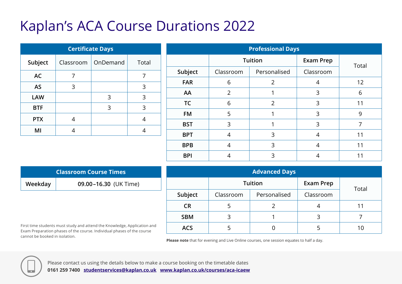### Kaplan's ACA Course Durations 2022

|            | <b>Certificate Days</b> |                      |       |
|------------|-------------------------|----------------------|-------|
| Subject    |                         | Classroom   OnDemand | Total |
| <b>AC</b>  |                         |                      |       |
| <b>AS</b>  | 3                       |                      | 3     |
| <b>LAW</b> |                         | 3                    | 3     |
| <b>BTF</b> |                         | 3                    | 3     |
| <b>PTX</b> |                         |                      | 4     |
| МΙ         |                         |                      |       |

|            |                | <b>Professional Days</b> |                  |       |
|------------|----------------|--------------------------|------------------|-------|
|            |                | <b>Tuition</b>           | <b>Exam Prep</b> | Total |
| Subject    | Classroom      | Personalised             | Classroom        |       |
| <b>FAR</b> | 6              | 2                        | 4                | 12    |
| AA         | $\overline{2}$ |                          | 3                | 6     |
| <b>TC</b>  | 6              | 2                        | 3                | 11    |
| <b>FM</b>  | 5              |                          | 3                | 9     |
| <b>BST</b> | 3              |                          | 3                | 7     |
| <b>BPT</b> | 4              | 3                        | $\overline{4}$   | 11    |
| <b>BPB</b> | 4              | 3                        | 4                | 11    |
| <b>BPI</b> | 4              | 3                        |                  | 11    |

|         | <b>Classroom Course Times</b> |
|---------|-------------------------------|
| Weekday | 09.00-16.30 (UK Time)         |

First time students must study and attend the Knowledge, Application and Exam Preparation phases of the course. Individual phases of the course cannot be booked in isolation.

|            |           | <b>Advanced Days</b> |                  |       |
|------------|-----------|----------------------|------------------|-------|
|            |           | <b>Tuition</b>       | <b>Exam Prep</b> | Total |
| Subject    | Classroom | Personalised         | Classroom        |       |
| <b>CR</b>  |           |                      |                  |       |
| <b>SBM</b> |           |                      | 3                |       |
| <b>ACS</b> |           |                      |                  |       |

**Please note** that for evening and Live Online courses, one session equates to half a day.

![](_page_3_Picture_7.jpeg)

Please contact us using the details below to make a course booking on the timetable dates **0161 259 7400 studentservices@kaplan.co.uk www.kaplan.co.uk/courses/aca-icaew**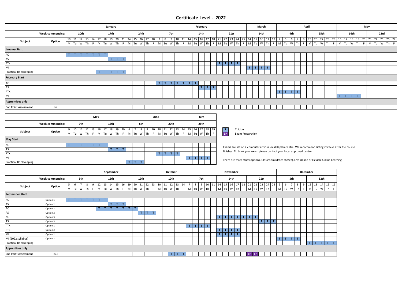#### **Certificate Level - 2022**

|                              |                  | January |                                                                                                                                                                                                                                |      |        |              |                               |      |        |   |                               |      |                         |      |    |                 |    | February     |                                   |         |   |                    |             |                                    | March |      |   |                                                                                                        | April |  |      |  |  | May             |  |      |  |
|------------------------------|------------------|---------|--------------------------------------------------------------------------------------------------------------------------------------------------------------------------------------------------------------------------------|------|--------|--------------|-------------------------------|------|--------|---|-------------------------------|------|-------------------------|------|----|-----------------|----|--------------|-----------------------------------|---------|---|--------------------|-------------|------------------------------------|-------|------|---|--------------------------------------------------------------------------------------------------------|-------|--|------|--|--|-----------------|--|------|--|
|                              | Week commencing: |         |                                                                                                                                                                                                                                | 10th |        |              |                               | 17th |        |   |                               | 24th |                         |      |    | 7th             |    |              | 14th                              |         |   |                    | <b>21st</b> |                                    |       | 14th |   |                                                                                                        | 4th   |  | 25th |  |  | 16th            |  | 23rd |  |
| Subject                      | Option           |         | 10 11 12 13 14 17 18 19 20 21 24 25 26 27 28 7 8 9 10 11 14 15 16 17 18 21 22 23 24 25 14 15 16 17 18 4 5 6 7 8 25 26 27 28 29 16 17 18 19 20 23 24 25 26 27 18 19 20 23 24 25 26 27 28 29 16 17 18 19 20 23 24 25 26 27 28 29 |      |        |              |                               |      |        |   |                               |      |                         |      |    |                 |    |              |                                   |         |   |                    |             |                                    |       |      |   |                                                                                                        |       |  |      |  |  |                 |  |      |  |
| <b>January Start</b>         |                  |         |                                                                                                                                                                                                                                |      |        |              |                               |      |        |   |                               |      |                         |      |    |                 |    |              |                                   |         |   |                    |             |                                    |       |      |   |                                                                                                        |       |  |      |  |  |                 |  |      |  |
| AC                           |                  |         | TΙ<br>-up-                                                                                                                                                                                                                     | т.   |        | $\mathbf{T}$ | $\mathbf{T}$                  |      |        |   |                               |      |                         |      |    |                 |    |              |                                   |         |   |                    |             |                                    |       |      |   |                                                                                                        |       |  |      |  |  |                 |  |      |  |
| AS                           |                  |         |                                                                                                                                                                                                                                |      |        |              |                               | T    | $\top$ | T |                               |      |                         |      |    |                 |    |              |                                   |         |   |                    |             |                                    |       |      |   |                                                                                                        |       |  |      |  |  |                 |  |      |  |
| <b>PTX</b>                   |                  |         |                                                                                                                                                                                                                                |      |        |              |                               |      |        |   |                               |      |                         |      |    |                 |    |              |                                   |         |   | $T$ $T$ $T$ $T$    |             |                                    |       |      |   |                                                                                                        |       |  |      |  |  |                 |  |      |  |
| MI                           |                  |         |                                                                                                                                                                                                                                |      |        |              |                               |      |        |   |                               |      |                         |      |    |                 |    |              |                                   |         |   |                    |             |                                    | T T T |      | T |                                                                                                        |       |  |      |  |  |                 |  |      |  |
| <b>Practical Bookkeeping</b> |                  |         |                                                                                                                                                                                                                                |      |        |              | $T[T T T T$                   |      |        |   |                               |      |                         |      |    |                 |    |              |                                   |         |   |                    |             |                                    |       |      |   |                                                                                                        |       |  |      |  |  |                 |  |      |  |
| <b>February Start</b>        |                  |         |                                                                                                                                                                                                                                |      |        |              |                               |      |        |   |                               |      |                         |      |    |                 |    |              |                                   |         |   |                    |             |                                    |       |      |   |                                                                                                        |       |  |      |  |  |                 |  |      |  |
| AC                           |                  |         |                                                                                                                                                                                                                                |      |        |              |                               |      |        |   |                               |      |                         |      | T. |                 | т. | $\mathbf{T}$ |                                   |         |   |                    |             |                                    |       |      |   |                                                                                                        |       |  |      |  |  |                 |  |      |  |
| AS                           |                  |         |                                                                                                                                                                                                                                |      |        |              |                               |      |        |   |                               |      |                         |      |    |                 |    |              |                                   | $T$ $T$ | T |                    |             |                                    |       |      |   |                                                                                                        |       |  |      |  |  |                 |  |      |  |
| PTX                          |                  |         |                                                                                                                                                                                                                                |      |        |              |                               |      |        |   |                               |      |                         |      |    |                 |    |              |                                   |         |   |                    |             |                                    |       |      |   | $T$ $T$                                                                                                | T T   |  |      |  |  |                 |  |      |  |
| MI                           |                  |         |                                                                                                                                                                                                                                |      |        |              |                               |      |        |   |                               |      |                         |      |    |                 |    |              |                                   |         |   |                    |             |                                    |       |      |   |                                                                                                        |       |  |      |  |  | $T$ $T$ $T$ $T$ |  |      |  |
| <b>Apprentices only</b>      |                  |         |                                                                                                                                                                                                                                |      |        |              |                               |      |        |   |                               |      |                         |      |    |                 |    |              |                                   |         |   |                    |             |                                    |       |      |   |                                                                                                        |       |  |      |  |  |                 |  |      |  |
| <b>End Point Assessment</b>  | Jun              |         |                                                                                                                                                                                                                                |      |        |              |                               |      |        |   |                               |      |                         |      |    |                 |    |              |                                   |         |   |                    |             |                                    |       |      |   |                                                                                                        |       |  |      |  |  |                 |  |      |  |
|                              |                  |         |                                                                                                                                                                                                                                |      |        |              |                               |      |        |   |                               |      |                         |      |    |                 |    |              |                                   |         |   |                    |             |                                    |       |      |   |                                                                                                        |       |  |      |  |  |                 |  |      |  |
|                              |                  |         |                                                                                                                                                                                                                                |      |        | May          |                               |      |        |   |                               |      |                         | June |    |                 |    |              | July                              |         |   |                    |             |                                    |       |      |   |                                                                                                        |       |  |      |  |  |                 |  |      |  |
|                              | Week commencing: |         |                                                                                                                                                                                                                                | 9th  |        |              |                               | 16th |        |   |                               | 6th  |                         |      |    | 20th            |    |              | 25th                              |         |   |                    |             |                                    |       |      |   |                                                                                                        |       |  |      |  |  |                 |  |      |  |
| Subject                      | Option           |         | $9   10   11   12   13   16   17   18   19   20   6$<br>M Tu W                                                                                                                                                                 |      | Th     |              | $F$ M $\tau$ u W $\tau$ h $F$ |      |        |   | $M$ Tu $W$ Th F $M$ Tu $W$ Th |      | 7 8 9 10 20 21 22 23 24 |      |    |                 |    | F            | 25 26 27 28 29<br>$M$ Tu $W$ Th F |         |   | $\mathbf{T}$<br>EP |             | Tuition<br><b>Exam Preparation</b> |       |      |   |                                                                                                        |       |  |      |  |  |                 |  |      |  |
| <b>May Start</b>             |                  |         |                                                                                                                                                                                                                                |      |        |              |                               |      |        |   |                               |      |                         |      |    |                 |    |              |                                   |         |   |                    |             |                                    |       |      |   |                                                                                                        |       |  |      |  |  |                 |  |      |  |
| AC                           |                  |         | ТI<br><b>T</b>                                                                                                                                                                                                                 | T    | $\top$ | $T$ $T$      |                               |      |        |   |                               |      |                         |      |    |                 |    |              |                                   |         |   |                    |             |                                    |       |      |   |                                                                                                        |       |  |      |  |  |                 |  |      |  |
| AS                           |                  |         |                                                                                                                                                                                                                                |      |        |              |                               | тI   | T   T  |   |                               |      |                         |      |    |                 |    |              |                                   |         |   |                    |             |                                    |       |      |   | Exams are sat on a computer at your local Kaplan centre. We recommend sitting 2 weeks after the course |       |  |      |  |  |                 |  |      |  |
| <b>PTX</b>                   |                  |         |                                                                                                                                                                                                                                |      |        |              |                               |      |        |   |                               |      |                         |      |    | $T$ $T$ $T$ $T$ |    |              |                                   |         |   |                    |             |                                    |       |      |   | finishes. To book your exam please contact your local approved centre.                                 |       |  |      |  |  |                 |  |      |  |

There are three study options. Classroom (dates shown), Live Online or Flexible Online Learning.

|                             |                         |   | September |     |      |    |    |    |      |              |    |    |        |              |    |        |    |      | October |    |      |        |     |    |    |      |              | November |    |    |              |              |    |              |                          |              |     |    |    | December |      |      |                       |  |
|-----------------------------|-------------------------|---|-----------|-----|------|----|----|----|------|--------------|----|----|--------|--------------|----|--------|----|------|---------|----|------|--------|-----|----|----|------|--------------|----------|----|----|--------------|--------------|----|--------------|--------------------------|--------------|-----|----|----|----------|------|------|-----------------------|--|
|                             | <b>Week commencing:</b> |   |           | 5th |      |    |    |    | 12th |              |    |    |        | 19th         |    |        |    |      | 10th    |    |      |        | 7th |    |    |      |              | 14th     |    |    |              | 21st         |    |              |                          |              | 5th |    |    |          |      | 12th |                       |  |
| Subject                     | Option                  | 5 | b         |     | 8    | 9  | 12 | 13 | 14   | 15           | 16 | 19 | 20     | 21           | 22 | 23     | 10 | 11   | 12      | 13 | 14   | 8      | 9   | 10 | 11 | 14   | 15           | 17<br>16 | 18 | 21 |              | $22 \mid 23$ | 24 | 25           | 5                        | 6            |     | 8  | 9  | 12       | 13   | 14   | 15 <sup>1</sup><br>16 |  |
|                             |                         | M | Tu        | W   | Th I | -F | M  | Tu | W    | Th           | F  |    | M Tu W |              |    | F.     |    | M Tu | W       | Th | -F I | M Tu W |     | Th | F  | M Tu |              | Th<br>W  | F  |    | M Tu W       |              | Th |              |                          | F M Tu       | W   | Th | F. |          | M Tu | W    | Th                    |  |
| <b>September Start</b>      |                         |   |           |     |      |    |    |    |      |              |    |    |        |              |    |        |    |      |         |    |      |        |     |    |    |      |              |          |    |    |              |              |    |              |                          |              |     |    |    |          |      |      |                       |  |
| AC                          | Option 1                |   |           | т   |      |    |    |    |      |              |    |    |        |              |    |        |    |      |         |    |      |        |     |    |    |      |              |          |    |    |              |              |    |              |                          |              |     |    |    |          |      |      |                       |  |
| AS                          | Option 1                |   |           |     |      |    |    |    |      | т            | T. |    |        |              |    |        |    |      |         |    |      |        |     |    |    |      |              |          |    |    |              |              |    |              |                          |              |     |    |    |          |      |      |                       |  |
| AC                          | Option 2                |   |           |     |      |    |    | T. |      | $\mathbf{r}$ | T  |    |        |              |    |        |    |      |         |    |      |        |     |    |    |      |              |          |    |    |              |              |    |              |                          |              |     |    |    |          |      |      |                       |  |
| AS                          | Option 2                |   |           |     |      |    |    |    |      |              |    |    |        | $\mathbf{T}$ | T. | $\tau$ |    |      |         |    |      |        |     |    |    |      |              |          |    |    |              |              |    |              |                          |              |     |    |    |          |      |      |                       |  |
| AC                          | Option 3                |   |           |     |      |    |    |    |      |              |    |    |        |              |    |        |    |      |         |    |      |        |     |    |    |      | T.           | т        | T  | T. | $\mathbf{T}$ |              |    |              |                          |              |     |    |    |          |      |      |                       |  |
| AS                          | Option 3                |   |           |     |      |    |    |    |      |              |    |    |        |              |    |        |    |      |         |    |      |        |     |    |    |      |              |          |    |    |              |              | T. | $\mathbf{r}$ |                          |              |     |    |    |          |      |      |                       |  |
| <b>PTX</b>                  | Option 1                |   |           |     |      |    |    |    |      |              |    |    |        |              |    |        |    |      |         |    |      |        | т   | T  |    |      |              |          |    |    |              |              |    |              |                          |              |     |    |    |          |      |      |                       |  |
| <b>PTX</b>                  | Option 2                |   |           |     |      |    |    |    |      |              |    |    |        |              |    |        |    |      |         |    |      |        |     |    |    |      | $\mathbf{r}$ | ÷        |    |    |              |              |    |              |                          |              |     |    |    |          |      |      |                       |  |
| MI                          | Option 1                |   |           |     |      |    |    |    |      |              |    |    |        |              |    |        |    |      |         |    |      |        |     |    |    | ÷.   | $\mathbf{T}$ | T        |    |    |              |              |    |              |                          |              |     |    |    |          |      |      |                       |  |
| MI (2022 syllabus)          | Option 2                |   |           |     |      |    |    |    |      |              |    |    |        |              |    |        |    |      |         |    |      |        |     |    |    |      |              |          |    |    |              |              |    |              | $\overline{\phantom{a}}$ | $\mathbf{T}$ |     |    |    |          |      |      |                       |  |
| Practical Bookkeeping       |                         |   |           |     |      |    |    |    |      |              |    |    |        |              |    |        |    |      |         |    |      |        |     |    |    |      |              |          |    |    |              |              |    |              |                          |              |     |    |    | тI       | T    | T    | T<br>T                |  |
| <b>Apprentices only</b>     |                         |   |           |     |      |    |    |    |      |              |    |    |        |              |    |        |    |      |         |    |      |        |     |    |    |      |              |          |    |    |              |              |    |              |                          |              |     |    |    |          |      |      |                       |  |
| <b>End Point Assessment</b> | Dec                     |   |           |     |      |    |    |    |      |              |    |    |        |              |    |        |    |      | п       |    | T.   |        |     |    |    |      |              |          |    | EP | EP.          |              |    |              |                          |              |     |    |    |          |      |      |                       |  |

MI **T T T T**

Practical Bookkeeping **T T T**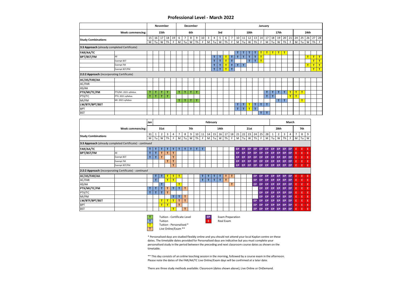#### **Professional Level - March 2022**

|                                              |                         |    |    | <b>November</b> |    |    |    |                | December |    |    |   |    |              |              |              |    |    |      |    |    | January      |              |      |    |              |              |              |      |    |              |
|----------------------------------------------|-------------------------|----|----|-----------------|----|----|----|----------------|----------|----|----|---|----|--------------|--------------|--------------|----|----|------|----|----|--------------|--------------|------|----|--------------|--------------|--------------|------|----|--------------|
|                                              | <b>Week commencing:</b> |    |    | 15th            |    |    |    |                | 6th      |    |    |   |    | 3rd          |              |              |    |    | 10th |    |    |              |              | 17th |    |              |              |              | 24th |    |              |
| <b>Study Combinations</b>                    |                         | 15 | 16 | 17              | 18 | 19 | 6  | $\overline{7}$ | 8        | 9  | 10 | 3 | 4  | 5            | 6            | 7            | 10 | 11 | 12   | 13 |    | 14 17        | 18           | 19   | 20 | 21           | 24           | 25           | 26   | 27 | 28           |
|                                              |                         | M  | Tu | W               | Th | F. |    | $M$ Tu         | W        | Th | F  | M | Tu | W            | Th           | F.           | M  | Tu | W    | Th | F. | M            | Tu           | W    | Th | F            | M            | Tu           | W    | Th | F            |
| 3:3 Approach (already completed Certificate) |                         |    |    |                 |    |    |    |                |          |    |    |   |    |              |              |              |    |    |      |    |    |              |              |      |    |              |              |              |      |    |              |
| <b>FAR/AA/TC</b>                             |                         |    |    |                 |    |    |    |                |          |    |    |   |    |              |              |              | T. | T. | T.   | T. | П  | $\mathbf{T}$ | $\mathbf{T}$ | T    | т  |              |              |              |      |    |              |
| <b>BPT/BST/FM</b>                            | All                     |    |    |                 |    |    |    |                |          |    |    |   | т  | т            | т            | т            | T. |    | т    |    |    |              |              |      |    |              |              |              | T    | T  | T            |
|                                              | <b>Exempt BST</b>       |    |    |                 |    |    |    |                |          |    |    |   | T. | т            | т            | T            |    |    | T.   | T. | т  |              |              |      |    |              |              |              |      | т  | $\mathbf{T}$ |
|                                              | <b>Exempt FM</b>        |    |    |                 |    |    |    |                |          |    |    |   | т  | $\mathsf{T}$ | т            | T            | T. | T. |      |    |    |              |              |      |    |              |              |              | T    | т  | $\mathbf{T}$ |
|                                              | Exempt BST/FM           |    |    |                 |    |    |    |                |          |    |    |   | T. | $\mathsf{T}$ | $\mathbf{T}$ | $\mathbf{T}$ |    |    |      |    |    |              |              |      |    |              |              |              |      | T  | T            |
| 2:2:2 Approach (incorporating Certificate)   |                         |    |    |                 |    |    |    |                |          |    |    |   |    |              |              |              |    |    |      |    |    |              |              |      |    |              |              |              |      |    |              |
| AC/AS/FAR/AA                                 |                         |    |    |                 |    |    |    |                |          |    |    |   |    |              |              |              |    |    |      |    |    |              |              |      |    |              |              |              |      |    |              |
| AC/FAR                                       |                         |    |    |                 |    |    |    |                |          |    |    |   |    |              |              |              |    |    |      |    |    |              |              |      |    |              |              |              |      |    |              |
| AS/AA                                        |                         |    |    |                 |    |    |    |                |          |    |    |   |    |              |              |              |    |    |      |    |    |              |              |      |    |              |              |              |      |    |              |
| PTX/MI/TC/FM                                 | PTX/MI: 2021 syllabus   | T. | т  | т               | т  |    | T. | т              | T        | т  |    |   |    |              |              |              |    |    |      |    |    | T            | T            | T.   | T. | $\mathbf T$  | T            | $\mathsf{T}$ |      |    |              |
| PTX/TC                                       | PTX: 2021 syllabus      |    | т  | т               | т  |    |    |                |          |    |    |   |    |              |              |              |    |    |      |    |    | T            | $\mathbf{T}$ |      |    | $\mathbf{r}$ | $\mathbf{T}$ |              |      |    |              |
| MI/FM                                        | MI: 2021 syllabus       |    |    |                 |    |    | T. | т              | т        | T  |    |   |    |              |              |              |    |    |      |    |    |              |              | T    |    |              |              | T            |      |    |              |
| LW/BTF/BPT/BST                               |                         |    |    |                 |    |    |    |                |          |    |    |   |    |              |              |              | T. | т  | T    | T. | т  | T            |              |      |    |              |              |              |      |    |              |
| <b>BPT</b>                                   |                         |    |    |                 |    |    |    |                |          |    |    |   |    |              |              |              | T. | т  | т    | T. |    |              |              |      |    |              |              |              |      |    |              |
| <b>BST</b>                                   |                         |    |    |                 |    |    |    |                |          |    |    |   |    |              |              |              |    |    |      |    | т  | т            |              |      |    |              |              |              |      |    |              |

|                                                          |                         | Jan     |    |        |              |                |        |         |        |          |         | February |          |         |          |         |           |          |           |           |         |           |           |                     |         | March               |                     |         |        |
|----------------------------------------------------------|-------------------------|---------|----|--------|--------------|----------------|--------|---------|--------|----------|---------|----------|----------|---------|----------|---------|-----------|----------|-----------|-----------|---------|-----------|-----------|---------------------|---------|---------------------|---------------------|---------|--------|
|                                                          | <b>Week commencing:</b> |         |    | 31st   |              |                |        |         | 7th    |          |         |          |          | 14th    |          |         |           |          | 21st      |           |         |           |           | 28th                |         |                     |                     | 7th     |        |
| <b>Study Combinations</b>                                |                         | 31<br>M | Tu | 2<br>W | 3<br>Th      | $\overline{4}$ | 7<br>M | 8<br>Tu | 9<br>W | 10<br>Th | 11<br>F | 14<br>M  | 15<br>Tu | 16<br>W | 17<br>Th | 18<br>F | 21<br>M   | 22<br>Tu | 23<br>W   | 24<br>Th  | 25<br>F | 28<br>M   | 1<br>Tu   | $\overline{2}$<br>W | 3<br>Th | $\overline{4}$<br>F | $\overline{7}$<br>M | 8<br>Tu | 9<br>W |
| 3:3 Approach (already completed Certificate) - continued |                         |         |    |        |              |                |        |         |        |          |         |          |          |         |          |         |           |          |           |           |         |           |           |                     |         |                     |                     |         |        |
| FAR/AA/TC                                                |                         | т       |    | т      | т            | т              | т      | T.      | т      | т        | т       |          |          |         |          |         | <b>EP</b> | EP       | <b>EP</b> | <b>EP</b> | EP      | EP        | EP        | EP                  | EP.     | EP                  | Ε                   | Ε       |        |
| <b>BPT/BST/FM</b>                                        | All                     |         |    |        | т            | т              |        |         |        |          |         |          |          |         |          |         | EP        | EP       | EP        | <b>EP</b> | EP      | EP        | EP        | EP                  | EP      | EP                  | Ε                   | Е       | Ε      |
|                                                          | <b>Exempt BST</b>       |         |    | т      |              | T              |        |         |        |          |         |          |          |         |          |         | EP        | EP       | EP        | <b>EP</b> | EP      | <b>EP</b> | <b>EP</b> | EP                  | EP      | EP                  | E                   | Ε       | E      |
|                                                          | Exempt FM               |         |    |        | т            | T              |        |         |        |          |         |          |          |         |          |         | <b>EP</b> | EP       | <b>EP</b> | EP        | EP      | EP        | EP.       | EP                  | EP.     | <b>EP</b>           | Ε                   | Е       | E      |
|                                                          | Exempt BST/FM           |         |    |        |              | T              |        |         |        |          |         |          |          |         |          |         | <b>EP</b> | EP       | EP        | EP        | EP      | EP        | <b>EP</b> | EP                  | EP.     | <b>EP</b>           | Ε                   | Ε       | E      |
| 2:2:2 Approach (incorporating Certificate) - continued   |                         |         |    |        |              |                |        |         |        |          |         |          |          |         |          |         |           |          |           |           |         |           |           |                     |         |                     |                     |         |        |
| AC/AS/FAR/AA                                             |                         |         | т  | т      | т            | т              | T.     |         |        |          | т       |          | т        | т       | т        | т       |           |          |           | <b>EP</b> | EP      | EP        | EP        | EP                  | EP      | <b>EP</b>           | Е                   | Ε       |        |
| AC/FAR                                                   |                         |         | т  |        | T            | $\mathbf{r}$   |        |         |        |          | T       |          |          | T       | т        |         |           |          |           | <b>EP</b> | EP      | <b>EP</b> | <b>EP</b> | EP                  | EP      | EP                  | E                   | Ε       | Ε      |
| AS/AA                                                    |                         |         |    | T      |              |                | T      |         |        |          |         |          |          |         |          | т       |           |          |           | <b>EP</b> | EP      | EP        | <b>EP</b> | EP                  | EP      | EP                  | Ε                   | Ε       | E      |
| PTX/MI/TC/FM                                             |                         |         | т  | т      | т            | T              | T.     | т       |        |          |         |          |          |         |          |         |           |          |           |           | EP      | EP        | <b>EP</b> | EP                  | EP      | EP                  | E                   | Ε       | E      |
| PTX/TC                                                   |                         | т       |    | т      | т            |                |        |         |        |          |         |          |          |         |          |         |           |          |           |           | EP      | EP        | <b>EP</b> | EP                  | EP      | EP                  | Ε                   | Ε       | Ε      |
| MI/FM                                                    |                         |         |    |        |              | T              | T.     | т       |        |          |         |          |          |         |          |         |           |          |           |           | EP      | EP        | <b>EP</b> | EP                  | EP      | EP                  | E                   | Ε       | E      |
| LW/BTF/BPT/BST                                           |                         |         |    | T      | $\mathsf{T}$ | T              | T.     | т       |        |          |         |          |          |         |          |         |           |          |           | <b>EP</b> | EP      | EP        | <b>EP</b> | EP                  | EP      | <b>EP</b>           | Ε                   | Ε       | E      |
| <b>BPT</b>                                               |                         |         |    | Ŧ      | T            |                | T.     |         |        |          |         |          |          |         |          |         |           |          |           | EP        | EP      | EP        | <b>EP</b> | EP                  | EP      | EP                  | Ε                   | Е       | Ε      |
| <b>BST</b>                                               |                         |         |    |        |              | т              |        |         |        |          |         |          |          |         |          |         |           |          |           | <b>EP</b> | EP      | EP        | EP.       | EP                  | EP      | <b>EP</b>           | Ε                   | Е       | Ε      |

![](_page_5_Picture_3.jpeg)

**Tuition E** Real Exam

\* Personalised days are studied flexibly online and you should not attend your local Kaplan centre on these dates. The timetable dates provided for Personalised days are indicative but you must complete your personalised study in the period between the preceding and next classroom course dates as shown on the timetable.

\*\* This day consists of an online teaching session in the morning, followed by a course exam in the afternoon. Please note the dates of the FAR/AA/TC Live Online/Exam days will be confirmed at a later date.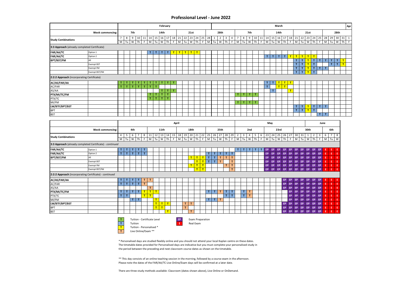#### **Professional Level - June 2022**

|                                                        |                                                          |                                   |                   |                                        |                   |              |                 |             | February         |         |         |                   |             |                               |   |                      |                    |                     |                               |                     |                 |                        |                     |              |                   |             |              | March               |             |              |                   |                 |         |                      |                              |              |                       |        |                         | Apr            |
|--------------------------------------------------------|----------------------------------------------------------|-----------------------------------|-------------------|----------------------------------------|-------------------|--------------|-----------------|-------------|------------------|---------|---------|-------------------|-------------|-------------------------------|---|----------------------|--------------------|---------------------|-------------------------------|---------------------|-----------------|------------------------|---------------------|--------------|-------------------|-------------|--------------|---------------------|-------------|--------------|-------------------|-----------------|---------|----------------------|------------------------------|--------------|-----------------------|--------|-------------------------|----------------|
|                                                        | <b>Week commencing:</b>                                  |                                   |                   | 7th                                    |                   |              |                 | 14th        |                  |         |         |                   | 21st        |                               |   |                      |                    | 28th                |                               |                     |                 |                        | 7th                 |              |                   |             |              | 14th                |             |              |                   |                 | 21st    |                      |                              |              |                       | 28th   |                         |                |
| <b>Study Combinations</b>                              |                                                          | $7\overline{ }$<br>$\overline{M}$ | 8<br>Tu           | 9<br>W<br>Th                           | $\overline{F}$    | 10 11 14 15  | $M$ Tu          | W           | $16$ 17 18<br>Th | F       |         | $21$ 22<br>$M$ Tu | W           | 23 24 25<br>Th                | F | 28<br>$\overline{M}$ | $\mathbf{1}$<br>Tu | $\overline{2}$<br>W | $\overline{\mathbf{3}}$<br>Th | $\overline{4}$<br>F | $7\overline{ }$ | 8<br>$M$ Tu            | 9                   | $W$ Th       | $10 \mid 11$<br>F | $M$ Tu      |              | 14 15 16 17 18<br>W | Th          | F            | $21$ 22<br>$M$ Tu |                 |         | 23 24<br>W Th        | 25<br>F                      |              | 28 29<br>$M$ Tu       |        | $30 \ 31 \ 1$<br>$W$ Th | $\overline{F}$ |
| 3:3 Approach (already completed Certificate)           |                                                          |                                   |                   |                                        |                   |              |                 |             |                  |         |         |                   |             |                               |   |                      |                    |                     |                               |                     |                 |                        |                     |              |                   |             |              |                     |             |              |                   |                 |         |                      |                              |              |                       |        |                         |                |
| FAR/AA/TC                                              | Option 1                                                 |                                   |                   |                                        |                   |              |                 | $\mathbf T$ | $\mathbf{T}$     | T       |         | T<br>T            |             | $T$ $T$                       |   |                      |                    |                     |                               |                     |                 |                        |                     |              |                   |             |              |                     |             |              |                   |                 |         |                      |                              |              |                       |        |                         |                |
| FAR/AA/TC                                              | Option 2                                                 |                                   |                   |                                        |                   |              | $T$   T         |             |                  |         |         |                   |             |                               |   |                      |                    |                     |                               |                     |                 |                        |                     |              |                   | $\mathbf T$ | T            | T                   | $\mathbf T$ | T            |                   | <u>т і т і </u> | $T$ $T$ |                      |                              |              |                       |        |                         |                |
| <b>BPT/BST/FM</b>                                      | All                                                      |                                   |                   |                                        |                   |              |                 |             |                  |         |         |                   |             |                               |   |                      |                    |                     |                               |                     |                 |                        |                     |              |                   |             |              |                     |             |              | $\mathsf T$       | T.              | T.      | $\mathbf T$          | $\mathbf{T}$                 | T            | $\mathbf{T}$          | T      | T                       |                |
|                                                        | <b>Exempt BST</b>                                        |                                   |                   |                                        |                   |              |                 |             |                  |         |         |                   |             |                               |   |                      |                    |                     |                               |                     |                 |                        |                     |              |                   |             |              |                     |             |              | T.                | $\mathsf T$     | T       | $\mathbf T$          |                              |              | T                     | T      | T                       |                |
|                                                        | Exempt FM                                                |                                   |                   |                                        |                   |              |                 |             |                  |         |         |                   |             |                               |   |                      |                    |                     |                               |                     |                 |                        |                     |              |                   |             |              |                     |             |              | $\mathsf T$       | T.              | T       | $\mathbf T$          | $\mathbf T$                  | T            |                       |        |                         |                |
|                                                        | Exempt BST/FM                                            |                                   |                   |                                        |                   |              |                 |             |                  |         |         |                   |             |                               |   |                      |                    |                     |                               |                     |                 |                        |                     |              |                   |             |              |                     |             |              | T                 | $\mathbf T$     | T.      | $\mathbf{T}$         |                              |              |                       |        |                         |                |
| 2:2:2 Approach (incorporating Certificate)             |                                                          |                                   |                   |                                        |                   |              |                 |             |                  |         |         |                   |             |                               |   |                      |                    |                     |                               |                     |                 |                        |                     |              |                   |             |              |                     |             |              |                   |                 |         |                      |                              |              |                       |        |                         |                |
|                                                        |                                                          |                                   |                   |                                        |                   |              |                 |             |                  |         |         |                   |             |                               |   |                      |                    |                     |                               |                     |                 |                        |                     |              |                   |             |              |                     |             |              |                   |                 |         |                      |                              |              |                       |        |                         |                |
| AC/AS/FAR/AA                                           |                                                          |                                   |                   |                                        |                   | т            | т               | т           | т                |         |         |                   |             |                               |   |                      |                    |                     |                               |                     |                 |                        |                     |              |                   | T.          | T.           | T                   | T           | $\mathbf{T}$ |                   |                 |         |                      |                              |              |                       |        |                         |                |
| AC/FAR                                                 |                                                          | $\mathbf{T}$                      | T<br>т            | T                                      | $\mathbf T$       | $\mathbf{T}$ | т               |             |                  |         |         |                   |             |                               |   |                      |                    |                     |                               |                     |                 |                        |                     |              |                   | $\mathbf T$ |              | T                   | T           |              |                   |                 |         |                      |                              |              |                       |        |                         |                |
| AS/AA                                                  |                                                          |                                   |                   |                                        |                   |              |                 | т           | $\mathbf T$      | т       |         |                   |             |                               |   |                      |                    |                     |                               |                     |                 |                        |                     |              |                   |             | $\mathbf{T}$ |                     |             | T            |                   |                 |         |                      |                              |              |                       |        |                         |                |
| PTX/MI/TC/FM                                           |                                                          |                                   |                   |                                        |                   | T.           | $\mathbf{T}$    | T.          | $\mathbf T$      |         |         |                   |             |                               |   |                      |                    |                     |                               |                     | T.              | $\mathbf{T}$           | T I                 | $\mathbf{T}$ |                   |             |              |                     |             |              |                   |                 |         |                      |                              |              |                       |        |                         |                |
| PTX/TC                                                 |                                                          |                                   |                   |                                        |                   | T.           | $\mathbf{T}$    | $\mathbf T$ | $\mathbf{T}$     |         |         |                   |             |                               |   |                      |                    |                     |                               |                     |                 |                        |                     |              |                   |             |              |                     |             |              |                   |                 |         |                      |                              |              |                       |        |                         |                |
| MI/FM                                                  |                                                          |                                   |                   |                                        |                   |              |                 |             |                  |         |         |                   |             |                               |   |                      |                    |                     |                               |                     | тI              | $\mathbf{T}$           | $T$ .               | $\mathbf T$  |                   |             |              |                     |             |              |                   |                 |         |                      |                              |              |                       |        |                         |                |
| LW/BTF/BPT/BST                                         |                                                          |                                   |                   |                                        |                   |              |                 |             |                  |         |         |                   |             |                               |   |                      |                    |                     |                               |                     |                 |                        |                     |              |                   |             |              |                     |             |              | $\mathbf T$       | T               | T       | $\top$               | T                            | T.           |                       |        |                         |                |
| <b>BPT</b>                                             |                                                          |                                   |                   |                                        |                   |              |                 |             |                  |         |         |                   |             |                               |   |                      |                    |                     |                               |                     |                 |                        |                     |              |                   |             |              |                     |             |              | $\mathsf T$       | T               | T       | $\mathbf T$          |                              |              |                       |        |                         |                |
| <b>BST</b>                                             |                                                          |                                   |                   |                                        |                   |              |                 |             |                  |         |         |                   |             |                               |   |                      |                    |                     |                               |                     |                 |                        |                     |              |                   |             |              |                     |             |              |                   |                 |         |                      | $\mathbf{T}$                 | $\mathbf{T}$ |                       |        |                         |                |
|                                                        | Week commencing:                                         |                                   |                   | 4th                                    |                   |              |                 | 11th        |                  |         |         |                   | 18th        |                               |   |                      |                    | 25th                |                               |                     |                 |                        | 2nd                 |              |                   |             |              | 23rd                |             |              |                   |                 | 30th    |                      |                              |              | 6th                   |        |                         |                |
| <b>Study Combinations</b>                              |                                                          | $\overline{4}$<br>$M$ Tu          | 5 <sup>5</sup>    | 6<br>$7^{\circ}$<br>W<br>Th            | 8<br>$\mathsf{F}$ |              | 11 12<br>$M$ Tu | 13<br>W     | 14<br>Th         | 15<br>F | M       | 18 19<br>Tu       | W           | 20 21 22<br>Th                | F | M                    | $25$ 26<br>Tu      | W                   | 27 28 29<br>Th                | F                   | $\overline{2}$  | $\mathbf{3}$<br>$M$ Tu | $\overline{4}$<br>W | 5<br>Th      | 6<br>F            | 23<br>M     | 24<br>Tu     | 25<br>W             | 26<br>Th    | 27<br>F      | 30 31<br>M        | Tu              | 1<br>W  | $\overline{2}$<br>Th | $\overline{\mathbf{3}}$<br>F | 6            | $7^{\circ}$<br>$M$ Tu | 8<br>W |                         |                |
|                                                        | 3:3 Approach (already completed Certificate) - continued |                                   |                   |                                        |                   |              |                 |             |                  |         |         |                   |             |                               |   |                      |                    |                     |                               |                     |                 |                        |                     |              |                   |             |              |                     |             |              |                   |                 |         |                      |                              |              |                       |        |                         |                |
| FAR/AA/TC                                              | Option 1                                                 | T.                                | T<br>$\mathbf{T}$ | T                                      | $\mathbf{T}$      |              |                 |             |                  |         |         |                   |             |                               |   |                      |                    |                     |                               |                     | T               | T                      | $\mathbf{T}$        | T.           | т                 | EP.         | EP           | EP                  | EP          | <b>EP</b>    | EP                | EP              | EP      | EP.                  | EP                           |              |                       |        |                         |                |
| FAR/AA/TC                                              | Option 2                                                 | $\mathbf{T}$                      | T                 | $\mathbf T$                            | $\mathbf T$<br>T  |              |                 |             |                  |         |         |                   |             |                               |   | $\mathbf T$          | T                  | $\mathbf T$         | T                             | $\mathbf{T}$        |                 |                        |                     |              |                   | EP.         | EP           | <b>FP</b>           | FP          | EP           | EP                | ⊕               | EP      | EP.                  | EP                           |              | Æ                     | -F     |                         |                |
| <b>BPT/BST/FM</b>                                      | All                                                      |                                   |                   |                                        |                   |              |                 |             |                  |         |         |                   |             | $T$ $T$                       | T | $\mathbf T$          | $\mathsf T$        | $\mathsf T$         | T                             | $\mathbf{T}$        |                 |                        |                     |              |                   | <b>EP</b>   | EP           | EP                  | EP          | EP           | EP                | EP              | EP      | EP                   | EP                           | Ε            | E                     | Æ      |                         |                |
|                                                        | <b>Exempt BST</b>                                        |                                   |                   |                                        |                   |              |                 |             |                  |         |         |                   |             | $\mathbf{T}$                  | T | $\mathbf T$          | $\mathsf T$        | T.                  |                               | $\mathbf{T}$        |                 |                        |                     |              |                   | EP          | EP           | EP                  | EP          | EP           | EP                | EP              | EP      | EP                   | EP                           | Æ.           | E.                    | E      |                         |                |
|                                                        | Exempt FM                                                |                                   |                   |                                        |                   |              |                 |             |                  |         |         |                   | T           | T                             | T |                      |                    |                     | T                             | $\mathbf{T}$        |                 |                        |                     |              |                   | <b>EP</b>   | EP           | EP                  | EP          | EP           | EP                | EP              | EP      | EP                   | EP                           | E            | E.                    | Æ      |                         |                |
|                                                        | Exempt BST/FM                                            |                                   |                   |                                        |                   |              |                 |             |                  |         |         |                   |             | T                             | T |                      |                    |                     |                               | $\mathbf{T}$        |                 |                        |                     |              |                   | EP.         | EP           | EP.                 | EP          | EP.          | EP.               | EP              | EP      | EP                   | EP                           | E            | E                     | .F     |                         |                |
| 2:2:2 Approach (incorporating Certificate) - continued |                                                          |                                   |                   |                                        |                   |              |                 |             |                  |         |         |                   |             |                               |   |                      |                    |                     |                               |                     |                 |                        |                     |              |                   |             |              |                     |             |              |                   |                 |         |                      |                              |              |                       |        |                         |                |
| AC/AS/FAR/AA                                           |                                                          | T                                 | T<br>$\mathbf{T}$ |                                        | T<br>$\mathbf T$  | T            |                 |             |                  |         |         |                   |             |                               |   |                      |                    |                     |                               |                     |                 |                        |                     |              |                   |             |              |                     | EP.         | <b>EP</b>    | EP.               | EP              | EP      | EP.                  | EP                           |              |                       |        |                         |                |
| AC/FAR                                                 |                                                          | T                                 | $\mathbf{T}$      | T<br>T                                 | T                 |              |                 |             |                  |         |         |                   |             |                               |   |                      |                    |                     |                               |                     |                 |                        |                     |              |                   |             |              |                     | <b>EP</b>   | EP           | EP                | EP              | EP      | EP                   | EP                           |              |                       | -F     |                         |                |
| AS/AA                                                  |                                                          |                                   |                   |                                        |                   | T            |                 |             |                  |         |         |                   |             |                               |   |                      |                    |                     |                               |                     |                 |                        |                     |              |                   |             |              |                     | <b>EP</b>   | EP           | EP                | EP              | EP      | <b>EP</b>            | EP                           |              |                       | -F     |                         |                |
| PTX/MI/TC/FM                                           |                                                          | T                                 | $\mathbf{T}$      | T<br>T                                 | T                 | T            | $\mathbf{T}$    |             |                  |         |         |                   |             |                               |   | $\mathsf T$          | T                  | $\mathbf T$         | $\mathbf{T}$                  | $\mathbf T$         |                 | T                      | $\mathbf T$         |              |                   |             |              |                     |             | EP           | EP                | EP              | EP      | <b>EP</b>            | EP                           |              |                       |        |                         |                |
| PTX/TC                                                 |                                                          | T                                 | $\mathsf T$       |                                        | T                 | T            |                 |             |                  |         |         |                   |             |                               |   |                      |                    |                     | $\mathsf T$                   | $\mathbf{T}$        |                 | T                      | T                   |              |                   |             |              |                     |             | EP           | EP                | EP              | EP      | EP                   | EP                           |              |                       | Æ      |                         |                |
| MI/FM                                                  |                                                          |                                   |                   | T<br>$\mathbf T$                       |                   |              | T               |             |                  |         |         |                   |             |                               |   | $\mathbf T$          | $\mathbf T$        | T                   |                               |                     |                 |                        |                     |              |                   |             |              |                     |             | EP           | EP                | EP              | EP      | <b>EP</b>            | EP                           | Æ            |                       | Æ      |                         |                |
| LW/BTF/BPT/BST                                         |                                                          |                                   |                   |                                        |                   |              | T               | T           | T                |         |         | $\mathbf{T}$      | T           |                               |   |                      |                    |                     |                               |                     |                 |                        |                     |              |                   |             |              |                     | <b>EP</b>   | EP           | EP                | EP              | EP      | EP                   | EP                           | E.           | E                     | Æ      |                         |                |
| <b>BPT</b>                                             |                                                          |                                   |                   |                                        |                   |              | T               | T           |                  |         |         | $\mathbf{I}$      |             |                               |   |                      |                    |                     |                               |                     |                 |                        |                     |              |                   |             |              |                     | EP          | EP           | EP                | EP              | EP      | EP                   | EP                           | E.           | E.                    | Æ      |                         |                |
| <b>BST</b>                                             |                                                          |                                   |                   |                                        |                   |              |                 |             | T                |         |         |                   | $\mathsf T$ |                               |   |                      |                    |                     |                               |                     |                 |                        |                     |              |                   |             |              |                     |             | EP EP        |                   | EP EP EP EP EP  |         |                      |                              | -E I         | E.                    | E.     |                         |                |
|                                                        |                                                          | T<br>$\mathbf T$                  |                   | Tuition - Certificate Level<br>Tuition |                   |              |                 |             |                  |         | EP<br>Æ |                   |             | Exam Preparation<br>Real Exam |   |                      |                    |                     |                               |                     |                 |                        |                     |              |                   |             |              |                     |             |              |                   |                 |         |                      |                              |              |                       |        |                         |                |

\* Personalised days are studied flexibly online and you should not attend your local Kaplan centre on these dates. The timetable dates provided for Personalised days are indicative but you must complete your personalised study in the period between the preceding and next classroom course dates as shown on the timetable.

\*\* This day consists of an online teaching session in the morning, followed by a course exam in the afternoon. Please note the dates of the FAR/AA/TC Live Online/Exam days will be confirmed at a later date.

There are three study methods available: Classroom (dates shown above), Live Online or OnDemand.

**T** Tuition - Personalised \*<br> **T** Live Online/Exam \*\* **T** Live Online/Exam \*\*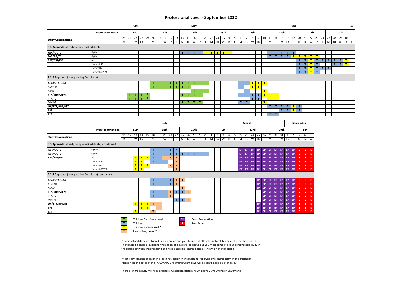#### **Professional Level - September 2022**

|                                                        |                                                          |                        | April       |                |                                |              |                          |              |              |              |                             |                |                | May          |             |                                                  |                        |                |                |                |                     |                 |                         |    |                    |              |                  |              |               |              |           |              | June                 |                  |           |         |                      |                         |                              |             |              |        |              | Jul               |
|--------------------------------------------------------|----------------------------------------------------------|------------------------|-------------|----------------|--------------------------------|--------------|--------------------------|--------------|--------------|--------------|-----------------------------|----------------|----------------|--------------|-------------|--------------------------------------------------|------------------------|----------------|----------------|----------------|---------------------|-----------------|-------------------------|----|--------------------|--------------|------------------|--------------|---------------|--------------|-----------|--------------|----------------------|------------------|-----------|---------|----------------------|-------------------------|------------------------------|-------------|--------------|--------|--------------|-------------------|
|                                                        | <b>Week commencing:</b>                                  |                        | 25th        |                |                                |              |                          |              | 9th          |              |                             |                |                | 16th         |             |                                                  |                        |                | 23rd           |                |                     |                 |                         |    | 6th                |              |                  |              |               |              | 13th      |              |                      |                  |           |         | 20th                 |                         |                              |             |              | 27th   |              |                   |
| <b>Study Combinations</b>                              |                                                          | $M$ Tu                 | W           | Th             | 25 26 27 28 29<br>$\mathsf{F}$ |              | M Tu                     |              | <b>W</b>     | Th           | F                           | $\overline{M}$ | Tu             | W            | Th          | $9$   10   11   12   13   16   17   18   19   20 | F<br>M                 | Tu             | W              | <b>Th</b>      | 23 24 25 26 27<br>F | 6               | $7\overline{ }$<br>M Tu |    | $8 \mid 9$<br>W Th |              | 10<br>F          | M            |               | Tu           | W         | Th           | 13 14 15 16 17<br>F  | 20<br>${\sf M}$  |           | Tu      | W                    | Th I                    | 21 22 23 24 27 28 29 30<br>F | M           | Tu           | $W$ Th |              | $\mathbf{1}$<br>F |
| 3:3 Approach (already completed Certificate)           |                                                          |                        |             |                |                                |              |                          |              |              |              |                             |                |                |              |             |                                                  |                        |                |                |                |                     |                 |                         |    |                    |              |                  |              |               |              |           |              |                      |                  |           |         |                      |                         |                              |             |              |        |              |                   |
| FAR/AA/TC                                              | Option 1                                                 |                        |             |                |                                |              |                          |              |              |              |                             | T              | $\mathsf T$    | $\mathbf{T}$ |             | $\mathbf T$<br>T                                 | T                      | T              | T              | T              |                     |                 |                         |    |                    |              |                  | T.           |               | $\mathbf{T}$ | T         | T            | $\mathbf{T}$         |                  |           |         |                      |                         |                              |             |              |        |              |                   |
| FAR/AA/TC                                              | Option 2                                                 |                        |             |                |                                |              |                          |              |              |              |                             |                |                |              |             |                                                  |                        |                |                |                |                     |                 |                         |    |                    |              |                  | $\mathbf{T}$ |               | T            | T         | $\mathbf T$  | T                    |                  |           |         | <u>T   T   T   T</u> |                         |                              |             |              |        |              |                   |
| <b>BPT/BST/FM</b>                                      | All                                                      |                        |             |                |                                |              |                          |              |              |              |                             |                |                |              |             |                                                  |                        |                |                |                |                     |                 |                         |    |                    |              |                  |              |               |              |           |              |                      | T                |           | T       | T                    | T                       | $\mathbf{T}$ .               | $\top$      | T            | T      | $\mathbf{T}$ |                   |
|                                                        | <b>Exempt BST</b>                                        |                        |             |                |                                |              |                          |              |              |              |                             |                |                |              |             |                                                  |                        |                |                |                |                     |                 |                         |    |                    |              |                  |              |               |              |           |              |                      | $\mathsf T$      |           | T       | T                    | $\mathbf T$             |                              |             | $\mathbf{T}$ | T      | T            |                   |
|                                                        | <b>Exempt FM</b>                                         |                        |             |                |                                |              |                          |              |              |              |                             |                |                |              |             |                                                  |                        |                |                |                |                     |                 |                         |    |                    |              |                  |              |               |              |           |              |                      | $\mathsf T$      |           | T       | T                    | $\mathbf{T}$ .          | T                            | $\mathbf T$ |              |        |              |                   |
|                                                        | Exempt BST/FM                                            |                        |             |                |                                |              |                          |              |              |              |                             |                |                |              |             |                                                  |                        |                |                |                |                     |                 |                         |    |                    |              |                  |              |               |              |           |              |                      | $\overline{T}$   |           | T       | T                    | $\overline{\mathbf{T}}$ |                              |             |              |        |              |                   |
| 2:2:2 Approach (incorporating Certificate)             |                                                          |                        |             |                |                                |              |                          |              |              |              |                             |                |                |              |             |                                                  |                        |                |                |                |                     |                 |                         |    |                    |              |                  |              |               |              |           |              |                      |                  |           |         |                      |                         |                              |             |              |        |              |                   |
| AC/AS/FAR/AA                                           |                                                          |                        |             |                |                                |              | T.                       | т            | т            | $\mathbf{T}$ | $\mathbf{T}$                | T.             | $\mathbf{T}$   | $\mathbf{T}$ |             | T.<br>т                                          |                        |                |                |                |                     | T.              | T                       |    | T                  |              | <u>  т   т  </u> |              |               |              |           |              |                      |                  |           |         |                      |                         |                              |             |              |        |              |                   |
| AC/FAR                                                 |                                                          |                        |             |                |                                |              | $T$ .<br>T               |              | $\mathbf{T}$ | T            | $\mathbf{T}$                | $\mathbf T$ .  | $\mathbf{T}$   |              |             |                                                  |                        |                |                |                |                     | T.              |                         |    | $T$ $T$            |              |                  |              |               |              |           |              |                      |                  |           |         |                      |                         |                              |             |              |        |              |                   |
| AS/AA                                                  |                                                          |                        |             |                |                                |              |                          |              |              |              |                             |                |                | $\mathbf{T}$ |             | $\mathbf T$<br>$\mathbf{T}$                      |                        |                |                |                |                     |                 | $\mathbf T$             |    |                    |              | T                |              |               |              |           |              |                      |                  |           |         |                      |                         |                              |             |              |        |              |                   |
| PTX/MI/TC/FM                                           |                                                          | $\mathbf T$            | $\mathbf T$ | $\mathbf{T}$ . | $\mathbf T$                    |              |                          |              |              |              |                             | T.             | тI             | $\top$       | $\mathbf T$ |                                                  |                        |                |                |                |                     | T               | T                       |    | $T$ $T$            |              | T                |              | $T$ $T$       |              |           |              |                      |                  |           |         |                      |                         |                              |             |              |        |              |                   |
| PTX/TC                                                 |                                                          | $\mathbf{T}$           | $\mathbf T$ | T              | $\mathbf{T}$                   |              |                          |              |              |              |                             |                |                |              |             |                                                  |                        |                |                |                |                     |                 |                         |    | T                  | $\mathbf{T}$ |                  | T            | T             |              |           |              |                      |                  |           |         |                      |                         |                              |             |              |        |              |                   |
| MI/FM                                                  |                                                          |                        |             |                |                                |              |                          |              |              |              |                             | T              | $\blacksquare$ | $\top$       |             | $\mathbf{T}$                                     |                        |                |                |                |                     |                 | тI<br>$\mathbf{T}$      |    |                    |              | T                |              |               |              |           |              |                      |                  |           |         |                      |                         |                              |             |              |        |              |                   |
| LW/BTF/BPT/BST                                         |                                                          |                        |             |                |                                |              |                          |              |              |              |                             |                |                |              |             |                                                  |                        |                |                |                |                     |                 |                         |    |                    |              |                  | $\mathbf T$  |               | T            |           | $T$ $T$      | T                    | $\mathbf{T}$     |           |         |                      |                         |                              |             |              |        |              |                   |
| <b>BPT</b>                                             |                                                          |                        |             |                |                                |              |                          |              |              |              |                             |                |                |              |             |                                                  |                        |                |                |                |                     |                 |                         |    |                    |              |                  |              |               |              | T         | T            | T                    | T                |           |         |                      |                         |                              |             |              |        |              |                   |
|                                                        |                                                          |                        |             |                |                                |              |                          |              |              |              |                             |                |                |              |             |                                                  |                        |                |                |                |                     |                 |                         |    |                    |              |                  |              | $\mathbf T$ . | T            |           |              |                      |                  |           |         |                      |                         |                              |             |              |        |              |                   |
| <b>BST</b>                                             |                                                          |                        |             |                |                                |              |                          |              |              |              |                             |                |                |              |             |                                                  |                        |                |                |                |                     |                 |                         |    |                    |              |                  |              |               |              |           |              |                      |                  |           |         |                      |                         |                              |             |              |        |              |                   |
|                                                        |                                                          |                        |             |                |                                |              |                          |              | July         |              |                             |                |                |              |             |                                                  |                        |                |                |                |                     |                 | August                  |    |                    |              |                  |              |               |              |           |              |                      |                  | September |         |                      |                         |                              |             |              |        |              |                   |
|                                                        |                                                          |                        |             |                |                                |              |                          |              |              |              |                             |                |                |              |             |                                                  |                        |                |                |                |                     |                 |                         |    |                    |              |                  |              |               |              |           |              |                      |                  |           |         |                      |                         |                              |             |              |        |              |                   |
|                                                        |                                                          |                        | 11th        |                |                                |              |                          |              | 18th         |              |                             |                |                | 25th         |             |                                                  |                        |                | 1st            |                |                     |                 |                         |    | 22nd               |              |                  |              |               |              | 29th      |              |                      |                  |           | 5th     |                      |                         |                              |             |              |        |              |                   |
|                                                        | Week commencing:                                         |                        |             |                |                                |              |                          |              |              |              |                             |                |                |              |             |                                                  |                        | $\overline{2}$ | $\overline{3}$ | $\overline{4}$ | 5                   |                 | 22 23                   |    |                    | 24 25        | 26               | 29 30        |               |              |           | $\mathbf{1}$ | $\overline{2}$       | 5                |           | 6       | $\overline{7}$       |                         |                              |             |              |        |              |                   |
| <b>Study Combinations</b>                              |                                                          | $11 \mid 12$<br>$M$ Tu | 13<br>W     | Th             | 14 15<br>F                     |              | 18 19 20 21 22<br>$M$ Tu |              | W            | Th           | F                           | 25 26<br>M     | Tu             | 27<br>W      | Th          | 28<br>29                                         | $\mathbf{1}$<br>F<br>M | Tu             | W              | Th             | F                   |                 | M Tu W                  |    |                    | Th           | F                | M            |               | Tu           | 31<br>W   | Th           | F                    | M                |           | Tu W    |                      |                         |                              |             |              |        |              |                   |
|                                                        | 3:3 Approach (already completed Certificate) - continued |                        |             |                |                                |              |                          |              |              |              |                             |                |                |              |             |                                                  |                        |                |                |                |                     |                 |                         |    |                    |              |                  |              |               |              |           |              |                      |                  |           |         |                      |                         |                              |             |              |        |              |                   |
| FAR/AA/TC                                              | Option 1                                                 |                        |             |                |                                |              | T.                       | T            | T.           | T            | $\mathbf{T}$                |                |                |              |             |                                                  |                        |                |                |                |                     | EP.             | EP                      |    | EP                 | EP           | EP               | EP           |               | EP.          | <b>EP</b> | EP           | EP                   | E                |           | E.      | -E                   |                         |                              |             |              |        |              |                   |
|                                                        | Option 2                                                 |                        |             |                |                                |              | $\mathbf{r}$             |              | $\mathbf{r}$ | $\mathbf{T}$ | $\mathbf{r}$                | $\mathbf{T}$   |                |              |             | $\mathbf{T}$                                     |                        |                |                |                |                     |                 | EP                      |    | EP                 |              |                  |              |               |              |           |              |                      | F                |           | E.      | Æ                    |                         |                              |             |              |        |              |                   |
| FAR/AA/TC<br><b>BPT/BST/FM</b>                         | All                                                      |                        | T           | T              | $\mathbf{T}$                   |              | T                        | T.           | T.           | T.           | T                           |                | $\mathbf{T}$   | $\mathbf{T}$ |             | $\mathbf{T}$                                     |                        |                |                |                |                     | EP<br><b>EP</b> |                         |    | EP                 | EP<br>EP     | <b>EP</b><br>EP  | EP<br>EP     |               | EP<br>EP     | EP<br>EP  | EP<br>EP     | EP<br>EP             | E                |           | E.      | Æ                    |                         |                              |             |              |        |              |                   |
|                                                        | <b>Exempt BST</b>                                        |                        | T           | T              |                                |              |                          | $\mathsf T$  |              |              |                             |                |                |              |             |                                                  |                        |                |                |                |                     | <b>EP</b>       | EP                      | EP |                    | EP           | EP               | EP           |               |              | EP        |              |                      | E                |           | E.      | Æ                    |                         |                              |             |              |        |              |                   |
|                                                        | <b>Exempt FM</b>                                         |                        |             |                |                                |              | $\mathbf T$              | $\mathbf T$  | $\mathbf T$  |              | $\mathsf T$                 |                |                |              |             |                                                  |                        |                |                |                |                     |                 |                         |    |                    |              |                  |              |               | EP           |           | EP           | EP                   |                  |           |         |                      |                         |                              |             |              |        |              |                   |
|                                                        |                                                          |                        | T           | T              | $^{\circ}$                     |              |                          |              |              | T.           | $\mathbf T$<br>$\mathbf{r}$ |                |                |              |             |                                                  |                        |                |                |                |                     | EP              | <b>EP</b>               | EP |                    | EP           | EP               | EP           |               | EP           | EP        | EP           | EP                   | $\mathsf E$      |           | E.      | E                    |                         |                              |             |              |        |              |                   |
| 2:2:2 Approach (incorporating Certificate) - continued | Exempt BST/FM                                            |                        | T           | T              |                                |              |                          |              |              |              |                             |                |                |              |             |                                                  |                        |                |                |                |                     |                 | EP EP                   | EP |                    | EP           | EP               |              | EP EP EP      |              |           |              | EP EP                | E                |           | E.      | -E                   |                         |                              |             |              |        |              |                   |
|                                                        |                                                          |                        |             |                |                                |              |                          |              |              |              |                             | $\mathbf{T}$   |                |              |             |                                                  |                        |                |                |                |                     |                 |                         |    |                    |              |                  |              |               |              |           |              |                      |                  |           |         |                      |                         |                              |             |              |        |              |                   |
| AC/AS/FAR/AA                                           |                                                          |                        |             |                |                                |              | T                        | T            | T            | T            | T                           |                |                |              |             |                                                  |                        |                |                |                |                     |                 |                         |    |                    | EP.          | EP               | EP<br>FP     |               | EP           | EP        | EP           | EP                   |                  |           |         | -E                   |                         |                              |             |              |        |              |                   |
| AC/FAR                                                 |                                                          |                        |             |                |                                |              | $\mathbf{T}$             | T.           | $\mathbf{T}$ | T            | $\mathbf{T}$                |                |                |              |             |                                                  |                        |                |                |                |                     |                 |                         |    |                    | <b>EP</b>    | EP.              |              |               | <b>EP</b>    | EP        | EP           | EP                   | F                |           | E.      | E                    |                         |                              |             |              |        |              |                   |
| AS/AA                                                  |                                                          |                        |             |                |                                |              |                          |              |              |              |                             | T              |                |              |             |                                                  |                        |                |                |                |                     |                 |                         |    |                    | EP           | EP.              | EP.          |               | EP           | EP        | EP           | EP                   | E                |           |         | E                    |                         |                              |             |              |        |              |                   |
| PTX/MI/TC/FM                                           |                                                          |                        |             |                |                                |              | $\mathsf T$              | $\mathbf T$  | $\mathsf T$  | $\mathbf{T}$ | $\mathbf{T}$                | T              | T              |              |             |                                                  |                        |                |                |                |                     |                 |                         |    |                    |              | EP               | EP           |               | <b>EP</b>    | EP        | EP           | EP                   | E                |           |         | -E                   |                         |                              |             |              |        |              |                   |
| PTX/TC                                                 |                                                          |                        |             |                |                                |              | $\mathbf T$              | $\mathsf T$  | $\mathsf T$  | T            |                             |                |                |              |             |                                                  |                        |                |                |                |                     |                 |                         |    |                    |              | <b>EP</b>        | EP           |               | EP           | EP        | EP           | EP                   | E                |           | Ε       | E                    |                         |                              |             |              |        |              |                   |
| MI/FM                                                  |                                                          |                        |             |                |                                |              |                          |              |              |              | T                           | T              | T              |              |             |                                                  |                        |                |                |                |                     |                 |                         |    |                    |              | <b>EP</b>        | EP           |               | EP           | EP        | EP           | EP                   | E                |           | E.      | E                    |                         |                              |             |              |        |              |                   |
| LW/BTF/BPT/BST                                         |                                                          |                        | T           |                | $T$ $T$                        | $\mathbf T$  |                          | $\mathsf{T}$ |              |              |                             |                |                |              |             |                                                  |                        |                |                |                |                     |                 |                         |    |                    | EP           | EP               | EP           |               | EP           | EP        | EP           | EP                   | E                |           | E.      | Æ                    |                         |                              |             |              |        |              |                   |
| <b>BPT</b><br><b>BST</b>                               |                                                          |                        | T           | T              | T                              | $\mathbf{r}$ |                          | T.           |              |              |                             |                |                |              |             |                                                  |                        |                |                |                |                     |                 |                         |    |                    | EP           | EP.<br>$EP$ $EP$ | EP           |               | EP           | EP        | EP           | EP<br>EP EP EP EP EP | $\mathsf E$<br>E |           | E<br>E. | Æ<br>Æ               |                         |                              |             |              |        |              |                   |

![](_page_7_Picture_2.jpeg)

**T** Tuition - Personalised \*<br> **T** Live Online/Exam \*\* **T** Live Online/Exam \*\*

\* Personalised days are studied flexibly online and you should not attend your local Kaplan centre on these dates. The timetable dates provided for Personalised days are indicative but you must complete your personalised study in the period between the preceding and next classroom course dates as shown on the timetable.

\*\* This day consists of an online teaching session in the morning, followed by a course exam in the afternoon. Please note the dates of the FAR/AA/TC Live Online/Exam days will be confirmed at a later date.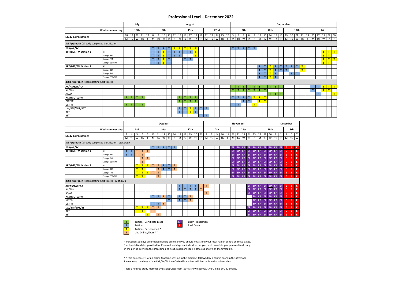#### **Professional Level - December 2022**

|                                                          |                   |             |                | July             |    |    |                      |              |                 |              |                                     |             |               | August       |              |                      |                     |    |      |    |                         |                |                                  |                     |              |              |                   |    |      |                | September      |                 |                        |                |               |    |   |                              |          |                |             |   |
|----------------------------------------------------------|-------------------|-------------|----------------|------------------|----|----|----------------------|--------------|-----------------|--------------|-------------------------------------|-------------|---------------|--------------|--------------|----------------------|---------------------|----|------|----|-------------------------|----------------|----------------------------------|---------------------|--------------|--------------|-------------------|----|------|----------------|----------------|-----------------|------------------------|----------------|---------------|----|---|------------------------------|----------|----------------|-------------|---|
|                                                          | Week commencing:  |             |                | 18th             |    |    |                      |              | 8th             |              |                                     |             |               | 15th         |              |                      |                     |    | 22nd |    |                         |                |                                  | 5th                 |              |              |                   |    | 12th |                |                |                 |                        | 19th           |               |    |   |                              |          | 26th           |             |   |
| <b>Study Combinations</b>                                |                   | 18<br>M     | Tu I           | 19 20 21 22<br>W | Th | F. | 8<br>M               | 9            | Tu W            | Th           | $10 \mid 11 \mid 12$<br>$\mathsf F$ |             | 15 16<br>M Tu | 17<br>W      | 18<br>Th     | F.                   | 19 22 23 24 25<br>M | Tu | W    | Th | 26 5<br>$\mathsf F$     | $\overline{M}$ | 6<br>Tu                          | $\overline{7}$<br>w | 8<br>Th      | 9<br>F       | 12 13<br>M        | Tu | W    | Th             | F              |                 | 14 15 16 19 20<br>M Tu |                | 21 22<br>W Th | 23 | F | 26<br>M                      | 27<br>Tu | 28<br><b>W</b> | 29 30<br>Th | F |
| 3:3 Approach (already completed Certificate)             |                   |             |                |                  |    |    |                      |              |                 |              |                                     |             |               |              |              |                      |                     |    |      |    |                         |                |                                  |                     |              |              |                   |    |      |                |                |                 |                        |                |               |    |   |                              |          |                |             |   |
| FAR/AA/TC                                                |                   |             |                |                  |    |    | $\mathbf{T}$         | $\mathbf{r}$ | т               | $\mathbf{T}$ |                                     | т           | T             | T            | T            |                      |                     |    |      |    |                         | T.             | T                                | T                   | $\mathbf{T}$ | T            |                   |    |      |                |                |                 |                        |                |               |    |   |                              |          |                |             |   |
| <b>BPT/BST/FM Option 1</b>                               | AII               |             |                |                  |    |    | $\mathbf{T}$         | T            | T               | $\mathbf{T}$ | $\mathbf T$                         | $\mathsf T$ | $\mathsf T$   | $\mathsf T$  | T            |                      |                     |    |      |    |                         |                |                                  |                     |              |              |                   |    |      |                |                |                 |                        |                |               |    |   |                              |          | T              | $T$ $T$     |   |
|                                                          | <b>Exempt BST</b> |             |                |                  |    |    | T                    | $\mathbf T$  | T               | $\mathbf{T}$ | $\mathbf T$                         | T           |               |              | T            |                      |                     |    |      |    |                         |                |                                  |                     |              |              |                   |    |      |                |                |                 |                        |                |               |    |   |                              |          | T              | T           |   |
|                                                          | <b>Exempt FM</b>  |             |                |                  |    |    | $\mathbf{T}$         | T            | $\mathsf{T}$    | $\mathbf{T}$ |                                     |             | T             | T            |              |                      |                     |    |      |    |                         |                |                                  |                     |              |              |                   |    |      |                |                |                 |                        |                |               |    |   |                              |          | $T$ $T$ $T$    |             |   |
|                                                          | Exempt BST/FM     |             |                |                  |    |    | $\mathbf{T}$         | T            | $^{\mathsf{T}}$ | $\mathbf{T}$ |                                     |             |               |              |              |                      |                     |    |      |    |                         |                |                                  |                     |              |              |                   |    |      |                |                |                 |                        |                |               |    |   |                              |          | T              | T           |   |
| <b>BPT/BST/FM Option 2</b>                               | AII               |             |                |                  |    |    |                      |              |                 |              |                                     |             |               |              |              |                      |                     |    |      |    |                         |                |                                  |                     |              |              | т                 | т  |      | T              | T.             | T               | T                      | T              | T             |    |   |                              |          |                |             |   |
|                                                          | <b>Exempt BST</b> |             |                |                  |    |    |                      |              |                 |              |                                     |             |               |              |              |                      |                     |    |      |    |                         |                |                                  |                     |              |              | T.                | T  | T    | $\mathbf T$    | T              | $\mathbf{r}$    |                        |                | T             |    |   |                              |          |                |             |   |
|                                                          | <b>Exempt FM</b>  |             |                |                  |    |    |                      |              |                 |              |                                     |             |               |              |              |                      |                     |    |      |    |                         |                |                                  |                     |              |              | T                 | T  | T    | $\mathsf T$    |                |                 | T                      | $\mathsf T$    |               |    |   |                              |          |                |             |   |
|                                                          | Exempt BST/FM     |             |                |                  |    |    |                      |              |                 |              |                                     |             |               |              |              |                      |                     |    |      |    |                         |                |                                  |                     |              |              | T.                | T  | T    | $\overline{1}$ |                |                 |                        |                |               |    |   |                              |          |                |             |   |
| 2:2:2 Approach (incorporating Certificate)               |                   |             |                |                  |    |    |                      |              |                 |              |                                     |             |               |              |              |                      |                     |    |      |    |                         |                |                                  |                     |              |              |                   |    |      |                |                |                 |                        |                |               |    |   |                              |          |                |             |   |
|                                                          |                   |             |                |                  |    |    |                      |              |                 |              |                                     |             |               |              |              |                      |                     |    |      |    |                         |                |                                  |                     |              |              |                   | T. | т    | $\mathbf{T}$   |                |                 |                        |                |               |    |   |                              |          |                |             |   |
| <b>AC/AS/FAR/AA</b>                                      |                   |             |                |                  |    |    |                      |              |                 |              |                                     |             |               |              |              |                      |                     |    |      |    |                         | т<br>T.        | т                                | т                   | т<br>T.      | T            | т<br>$\mathbf{T}$ | T. |      |                | т              |                 |                        |                |               |    |   | T<br>$\overline{\mathbf{T}}$ | T.       | T              | T           | T |
| AC/FAR                                                   |                   |             |                |                  |    |    |                      |              |                 |              |                                     |             |               |              |              |                      |                     |    |      |    |                         |                | T                                | T                   |              | $\mathbf{T}$ |                   |    |      |                |                |                 |                        |                |               |    |   |                              |          | T              | T           |   |
| AS/AA                                                    |                   |             | T.             |                  |    |    |                      |              |                 |              |                                     |             |               |              |              |                      |                     |    |      |    |                         |                |                                  |                     |              |              |                   |    | T.   | T              | т              |                 |                        |                |               |    |   |                              | T.       |                |             | T |
| PTX/MI/TC/FM                                             |                   | T.          |                | $\mathbf{T}$     | т  |    |                      |              |                 |              |                                     | T.          | $\mathbf{T}$  | T            | T            |                      |                     |    |      |    |                         | T.             | T                                | $\mathbf{T}$        | T            | T            | $T$ $T$           |    |      |                |                |                 |                        |                |               |    |   |                              |          |                |             |   |
| PTX/TC                                                   |                   |             |                |                  |    |    |                      |              |                 |              |                                     | T.          | $\mathbf{T}$  | $\mathbf{T}$ | $\mathbf{T}$ |                      |                     |    |      |    |                         |                |                                  | T                   | $\mathbf{T}$ |              | $T$ $T$           |    |      |                |                |                 |                        |                |               |    |   |                              |          |                |             |   |
| MI/FM                                                    |                   | T.          | $\mathbf{T}$   | T.               | T  |    |                      |              |                 |              |                                     |             |               |              |              |                      |                     |    |      |    |                         | TIT            |                                  |                     |              | T            |                   |    |      |                |                |                 |                        |                |               |    |   |                              |          |                |             |   |
| LW/BTF/BPT/BST                                           |                   |             |                |                  |    |    |                      |              |                 |              |                                     | T.          | $\mathbf{T}$  | T            | $\mathbf{T}$ | T                    | T                   |    |      |    |                         |                |                                  |                     |              |              |                   |    |      |                |                |                 |                        |                |               |    |   |                              |          |                |             |   |
| BPT                                                      |                   |             |                |                  |    |    |                      |              |                 |              |                                     | $\mathbf T$ | $\mathbf{T}$  | T            | $\mathbf{T}$ |                      |                     |    |      |    |                         |                |                                  |                     |              |              |                   |    |      |                |                |                 |                        |                |               |    |   |                              |          |                |             |   |
| <b>BST</b>                                               |                   |             |                |                  |    |    |                      |              |                 |              |                                     |             |               |              |              | T.                   | т                   |    |      |    |                         |                |                                  |                     |              |              |                   |    |      |                |                |                 |                        |                |               |    |   |                              |          |                |             |   |
|                                                          |                   |             |                |                  |    |    |                      |              |                 |              |                                     |             |               |              |              |                      |                     |    |      |    |                         |                |                                  |                     |              |              |                   |    |      |                |                |                 |                        |                |               |    |   |                              |          |                |             |   |
|                                                          |                   |             |                |                  |    |    |                      |              | October         |              |                                     |             |               |              |              |                      |                     |    |      |    |                         |                | November                         |                     |              |              |                   |    |      |                |                | <b>December</b> |                        |                |               |    |   |                              |          |                |             |   |
|                                                          | Week commencing:  |             |                | 3rd              |    |    |                      |              | 10th            |              |                                     |             |               | 17th         |              |                      |                     |    | 7th  |    |                         |                |                                  | 21st                |              |              |                   |    | 28th |                |                |                 | 5th                    |                |               |    |   |                              |          |                |             |   |
| <b>Study Combinations</b>                                |                   | 3           | $\overline{4}$ | 5                | 6  | 7  | $10 \mid 11 \mid 12$ |              |                 |              |                                     |             |               |              |              | 13 14 17 18 19 20 21 | $7\overline{ }$     | 8  | 9    |    |                         |                | 10 11 21 22 23 24 25             |                     |              |              | 28 29             |    | 30   | $\mathbf{1}$   | $\overline{2}$ | 5               | 6 <sup>1</sup>         | $\overline{7}$ |               |    |   |                              |          |                |             |   |
|                                                          |                   | M           | Tu             | W                | Th | F. | M                    | Tu           | W               | Th           | F                                   |             | $M$ Tu        | W            | Th           | F.                   | $\overline{M}$      | Tu | W    | Th | $\overline{\mathsf{F}}$ | M              | Tu                               | W                   | Th           | F.           | $\overline{M}$    | Tu | W    | Th             | F              |                 | $M$ Tu                 | W              |               |    |   |                              |          |                |             |   |
| 3:3 Approach (already completed Certificate) - continued |                   |             |                |                  |    |    |                      |              |                 |              |                                     |             |               |              |              |                      |                     |    |      |    |                         |                |                                  |                     |              |              |                   |    |      |                |                |                 |                        |                |               |    |   |                              |          |                |             |   |
| FAR/AA/TC                                                |                   |             |                |                  |    |    | T                    | T            | T               | $\mathbf T$  | $\mathbf{T}$                        |             |               |              |              |                      |                     |    |      |    |                         | EP.            | EP                               | EP                  | EP           | EP           | EP                | EP | EP   | EP.            | EP             | E.              | E.                     | Æ              |               |    |   |                              |          |                |             |   |
| BPT/BST/FM Option 1                                      | AII               | $\mathsf T$ | T.             | T                | T  | T  |                      |              |                 |              |                                     |             |               |              |              |                      |                     |    |      |    |                         | EP             | EP                               | EP                  | EP.          | EP           | EP                | EP | EP   | EP             | EP             | E               | E                      | E              |               |    |   |                              |          |                |             |   |
|                                                          | <b>Exempt BST</b> | T.          | T              | T.               | T. |    |                      |              |                 |              |                                     |             |               |              |              |                      |                     |    |      |    |                         | <b>EP</b>      | EP                               | EP                  | EP.          | EP           | EP EP EP          |    |      |                | EP EP          | E               | E                      | E              |               |    |   |                              |          |                |             |   |
|                                                          | <b>Exempt FM</b>  |             |                |                  | T  | T  |                      |              |                 |              |                                     |             |               |              |              |                      |                     |    |      |    |                         | EP.            | EP.                              | EP                  | EP           | EP           | EP                | EP | EP   |                | EP EP          | E.              | E.                     | E              |               |    |   |                              |          |                |             |   |
|                                                          | Exempt BST/FM     |             |                |                  | T. |    |                      |              |                 |              |                                     |             |               |              |              |                      |                     |    |      |    |                         | <b>EP</b>      | EP.                              | EP                  | EP.          | EP           | EP.               | EP | EP   | EP             | EP             | E               | E                      | Ε              |               |    |   |                              |          |                |             |   |
| BPT/BST/FM Option 2                                      | AII               |             |                | T                | T  | T  | T                    | T            | T               | T.           | $\mathbf{T}$                        |             |               |              |              |                      |                     |    |      |    |                         | <b>EP</b>      | EP                               | EP                  | EP.          | EP           | EP EP EP          |    |      |                | EP EP          | E               | E                      | E              |               |    |   |                              |          |                |             |   |
|                                                          | <b>Exempt BST</b> |             |                | T                | T  |    |                      | T.           | T               | $\mathbf{T}$ | T                                   |             |               |              |              |                      |                     |    |      |    |                         | EP.            | EP.                              | EP.                 | EP EP        |              | EP EP EP          |    |      |                | EP EP          | E.              | E.                     | E              |               |    |   |                              |          |                |             |   |
|                                                          | <b>Exempt FM</b>  |             |                | T                | T  | T  | $\mathbf{T}$         | $\mathbf{T}$ |                 |              |                                     |             |               |              |              |                      |                     |    |      |    |                         | EP.            | EP EP                            |                     | EP EP        |              | EP EP EP          |    |      |                | EP EP          | E               |                        | $E$ $E$        |               |    |   |                              |          |                |             |   |
|                                                          | Exempt BST/FM     |             |                | T                | T  |    |                      | T            |                 |              |                                     |             |               |              |              |                      |                     |    |      |    |                         |                | EP EP EP EP EP EP EP EP EP EP EP |                     |              |              |                   |    |      |                |                | E.              | E.                     | E              |               |    |   |                              |          |                |             |   |
| 2:2:2 Approach (incorporating Certificate) - continued   |                   |             |                |                  |    |    |                      |              |                 |              |                                     |             |               |              |              |                      |                     |    |      |    |                         |                |                                  |                     |              |              |                   |    |      |                |                |                 |                        |                |               |    |   |                              |          |                |             |   |

| AC/AS/FAR/AA   |  |                          |   |   |   |  |  |  |  |  |  |  |  | EP. | EP. | EP        | EP        | EP.             | EP | EP  |   |  |
|----------------|--|--------------------------|---|---|---|--|--|--|--|--|--|--|--|-----|-----|-----------|-----------|-----------------|----|-----|---|--|
| AC/FAR         |  |                          |   |   |   |  |  |  |  |  |  |  |  | EP  | EP. | <b>EP</b> | EP        | EP <sup>1</sup> | EP | EP. |   |  |
| AS/AA          |  |                          |   |   |   |  |  |  |  |  |  |  |  | EP  |     | EP        | EP        | EP.             | EP | EP  |   |  |
| PTX/MI/TC/FM   |  |                          |   |   |   |  |  |  |  |  |  |  |  |     | EP. | <b>EP</b> | <b>EP</b> | EP.             | EP | EP. |   |  |
| PTX/TC         |  |                          |   |   |   |  |  |  |  |  |  |  |  |     | EP. | (EP)      | <b>EP</b> | EP.             | EP | EP. |   |  |
| MI/FM          |  |                          |   |   |   |  |  |  |  |  |  |  |  |     | EP. | EP        | (FP)      | EP.             | EP | EP. |   |  |
| LW/BTF/BPT/BST |  | -                        | - | т | - |  |  |  |  |  |  |  |  | EP  | EP. | EP        | EP        | EP.             | EP | EP. |   |  |
| <b>BPT</b>     |  | $\overline{\phantom{a}}$ | - |   |   |  |  |  |  |  |  |  |  | EP  | EP. | EP        | EP        | EP.             | EP | EP. | ٠ |  |
| <b>BST</b>     |  |                          |   | - |   |  |  |  |  |  |  |  |  | EP  | EP. | EP        | EP        | EP.             | EP | EP. |   |  |

![](_page_8_Picture_3.jpeg)

**The Tuite Real Exam** 

Live Online/Exam \*\*

\* Personalised days are studied flexibly online and you should not attend your local Kaplan centre on these dates. The timetable dates provided for Personalised days are indicative but you must complete your personalised study in the period between the preceding and next classroom course dates as shown on the timetable.

\*\* This day consists of an online teaching session in the morning, followed by a course exam in the afternoon. Please note the dates of the FAR/AA/TC Live Online/Exam days will be confirmed at a later date.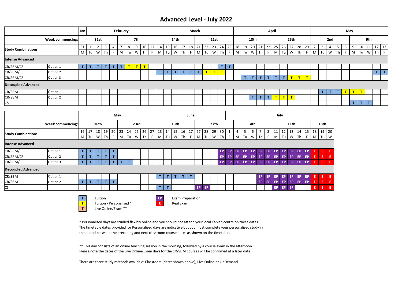### **Advanced Level - July 2022**

|                           |                  | Jan               |      |  | February |        |     |    |    |                 |    |                 |    | March |                          |                 |    |                 |     |      |                 |           | April |                 |         |        |    |              |               |                |   | May |   |    |             |       |    |
|---------------------------|------------------|-------------------|------|--|----------|--------|-----|----|----|-----------------|----|-----------------|----|-------|--------------------------|-----------------|----|-----------------|-----|------|-----------------|-----------|-------|-----------------|---------|--------|----|--------------|---------------|----------------|---|-----|---|----|-------------|-------|----|
|                           | Week commencing: |                   | 31st |  |          |        | 7th |    |    |                 |    | 14th            |    |       |                          | 21st            |    |                 |     |      | 18th            |           |       |                 |         | 25th   |    |              |               | 2nd            |   |     |   |    | 9th         |       |    |
| <b>Study Combinations</b> |                  | 31                |      |  |          |        | 9   | 10 | 11 | 14              | 15 | 16 <sup>1</sup> | 17 |       | 18 21 22                 | 23 <sup>1</sup> | 24 | 25 <sub>1</sub> | 18  | 19   | 20 <sup>1</sup> | $21$   22 |       | 25 <sub>1</sub> | 26      | 27     | 28 | 29           |               | $\overline{4}$ | 5 | 6   | 9 | 10 | 11          | 12 13 |    |
|                           |                  | $M$ $Tu$ $W$ $Th$ |      |  |          | M Tu W |     | Th |    | $F$ M $Tu$ W Th |    |                 |    |       | F M Tu                   | WTh             |    |                 | F M | Tu W |                 | Th F M    |       |                 | Tu      | W Th F |    |              | $M$ Tu $W$ Th |                |   | -F  |   |    | M Tu W Th F |       |    |
| <b>Intense Advanced</b>   |                  |                   |      |  |          |        |     |    |    |                 |    |                 |    |       |                          |                 |    |                 |     |      |                 |           |       |                 |         |        |    |              |               |                |   |     |   |    |             |       |    |
| CR/SBM/CS                 | Option 1         |                   |      |  |          |        |     |    |    |                 |    |                 |    |       |                          |                 |    |                 |     |      |                 |           |       |                 |         |        |    |              |               |                |   |     |   |    |             |       |    |
| CR/SBM/CS                 | Option 2         |                   |      |  |          |        |     |    |    |                 |    |                 |    |       | $\overline{\phantom{a}}$ | $\mathbf{r}$    | -  |                 |     |      |                 |           |       |                 |         |        |    |              |               |                |   |     |   |    |             | T.    | T. |
| CR/SBM/CS                 | Option 3         |                   |      |  |          |        |     |    |    |                 |    |                 |    |       |                          |                 |    |                 |     | T.   | ÷               |           |       | T.              | T.      | T      | T  | $\mathbf{r}$ |               |                |   |     |   |    |             |       |    |
| <b>Decoupled Advanced</b> |                  |                   |      |  |          |        |     |    |    |                 |    |                 |    |       |                          |                 |    |                 |     |      |                 |           |       |                 |         |        |    |              |               |                |   |     |   |    |             |       |    |
| CR/SBM                    | Option 1         |                   |      |  |          |        |     |    |    |                 |    |                 |    |       |                          |                 |    |                 |     |      |                 |           |       |                 |         |        |    |              | TN            |                |   |     |   |    |             |       |    |
| CR/SBM                    | Option 2         |                   |      |  |          |        |     |    |    |                 |    |                 |    |       |                          |                 |    |                 |     |      | T.              | T         | T     | $\mathbf{T}$ ). | $T$ $T$ |        |    |              |               |                |   |     |   |    |             |       |    |
| CS.                       |                  |                   |      |  |          |        |     |    |    |                 |    |                 |    |       |                          |                 |    |                 |     |      |                 |           |       |                 |         |        |    |              |               |                |   |     |   |    |             |       |    |

|                           |                  |    |    |      |    |    | May |    |      |    |    |    |    |                  |      | June |     |      |                  |    |     |    |    |     |     |    |     | July |           |     |     |    |      |       |
|---------------------------|------------------|----|----|------|----|----|-----|----|------|----|----|----|----|------------------|------|------|-----|------|------------------|----|-----|----|----|-----|-----|----|-----|------|-----------|-----|-----|----|------|-------|
|                           | Week commencing: |    |    | 16th |    |    |     |    | 23rd |    |    |    |    | 13 <sub>th</sub> |      |      |     |      | 27 <sub>th</sub> |    |     |    |    | 4th |     |    |     |      | 11th      |     |     |    | 18th |       |
| <b>Study Combinations</b> |                  | 16 | 17 | 18   | 19 | 20 | 23  | 24 | 25   | 26 | 27 | 13 | 14 | 15               | 16 l | 17   | 27  | 28   | 29               | 30 |     |    |    | b   |     | 8  |     | 12   | 13        | 14  | 15  | 18 |      | 19 20 |
|                           |                  | M  | Tu | W    | Th |    | M   | Tu | W    | Th |    | M  | Tu | W                | Th   | F.   | M   | Tu I | W                | Th | F.  | M  | Tu | W   | Th  |    | M   | Tu   | W         | Th  | F   | M  | Tu l | W     |
| <b>Intense Advanced</b>   |                  |    |    |      |    |    |     |    |      |    |    |    |    |                  |      |      |     |      |                  |    |     |    |    |     |     |    |     |      |           |     |     |    |      |       |
| CR/SBM/CS                 | Option 1         | т. |    |      |    | т  |     |    |      |    |    |    |    |                  |      |      |     |      |                  | EP | EP. | EP | EP | EP  | EP. | EP | EP. | EP   | EP.       | EP  | EP  |    | E    | -E.   |
| CR/SBM/CS                 | Option 2         | T. |    |      |    | ÷  |     |    |      |    |    |    |    |                  |      |      |     |      |                  | EP | EP. | EP | EP | EP  | EP. | EP | EP  | EP   | EP.       | EP  | EP  |    | E    | Æ     |
| CR/SBM/CS                 | Option 3         | т  |    |      |    | T. |     | T. |      |    |    |    |    |                  |      |      |     |      |                  | EP | EP  | EP | EP | EP  | EP. | EP | EP. | EP   | EP.       | EP. | EP  | E  | E.   | E.    |
| <b>Decoupled Advanced</b> |                  |    |    |      |    |    |     |    |      |    |    |    |    |                  |      |      |     |      |                  |    |     |    |    |     |     |    |     |      |           |     |     |    |      |       |
| CR/SBM                    | Option 1         |    |    |      |    |    |     |    |      |    |    |    |    |                  |      |      |     |      |                  |    |     |    |    |     | EP. | EP | EP. | EP   | EP.       | EP  | EP. |    | Ε    | l E,  |
| CR/SBM                    | Option 2         | т  |    | т    |    | т  |     |    |      |    |    |    |    |                  |      |      |     |      |                  |    |     |    |    |     | EP. | EP | EP  | EP   | EP.       | EP  | EP  | E  | Œ    | E     |
| <b>CS</b>                 |                  |    |    |      |    |    |     |    |      |    |    |    |    |                  |      |      | EP. | EP   |                  |    |     |    |    |     |     |    | EP  | EP   | <b>EP</b> |     |     | Ε  | E.   | -E    |

![](_page_9_Picture_3.jpeg)

**T** Tuition **EP** Exam Preparation **T** Tuition - Personalised \* **E** Real Exam **T** Live Online/Exam \*\*

\* Personalised days are studied flexibly online and you should not attend your local Kaplan centre on these dates. The timetable dates provided for Personalised days are indicative but you must complete your personalised study in the period between the preceding and next classroom course dates as shown on the timetable.

\*\* This day consists of an online teaching session in the morning, followed by a course exam in the afternoon. Please note the dates of the Live Online/Exam days for the CR/SBM courses will be confirmed at a later date.